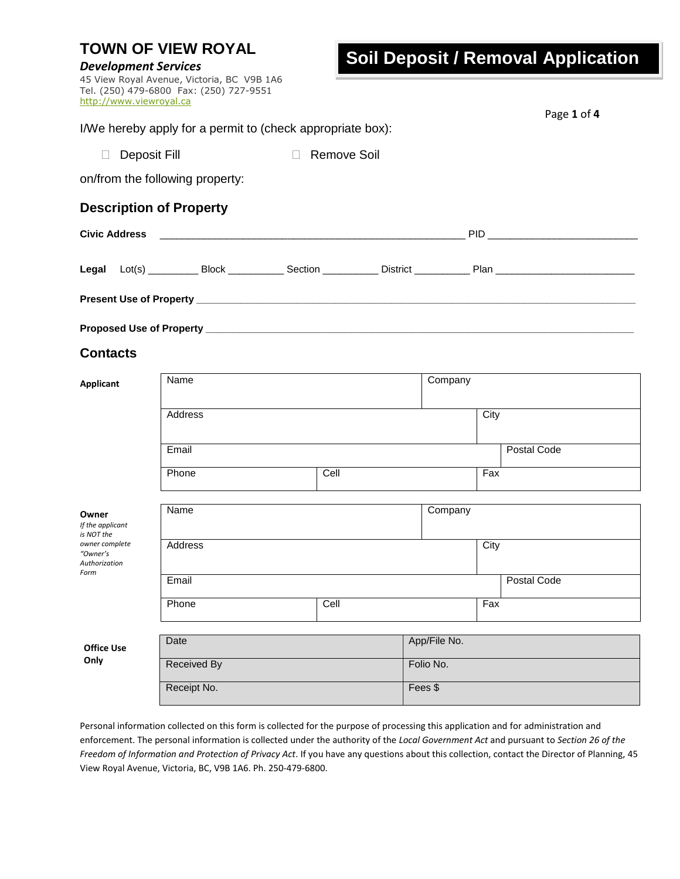| <b>TOWN OF VIEW ROYAL</b><br><b>Development Services</b> |                         |                                                                                       |  |                    | <b>Soil Deposit / Removal Application</b> |             |  |
|----------------------------------------------------------|-------------------------|---------------------------------------------------------------------------------------|--|--------------------|-------------------------------------------|-------------|--|
|                                                          | http://www.viewroyal.ca | 45 View Royal Avenue, Victoria, BC V9B 1A6<br>Tel. (250) 479-6800 Fax: (250) 727-9551 |  |                    |                                           | Page 1 of 4 |  |
|                                                          |                         | I/We hereby apply for a permit to (check appropriate box):                            |  |                    |                                           |             |  |
| $\Box$                                                   | Deposit Fill            |                                                                                       |  | <b>Remove Soil</b> |                                           |             |  |
|                                                          |                         | on/from the following property:                                                       |  |                    |                                           |             |  |
|                                                          |                         | <b>Description of Property</b>                                                        |  |                    |                                           |             |  |
| <b>Civic Address</b>                                     |                         |                                                                                       |  |                    |                                           |             |  |
|                                                          |                         |                                                                                       |  |                    |                                           |             |  |
|                                                          |                         |                                                                                       |  |                    |                                           |             |  |
|                                                          |                         |                                                                                       |  |                    |                                           |             |  |
| <b>Contacts</b>                                          |                         |                                                                                       |  |                    |                                           |             |  |
| <b>Applicant</b>                                         |                         | Name                                                                                  |  |                    | Company                                   |             |  |
|                                                          |                         | Address                                                                               |  |                    | City                                      |             |  |
|                                                          |                         | Email                                                                                 |  |                    |                                           | Postal Code |  |
|                                                          |                         | Phone                                                                                 |  | Cell               | Fax                                       |             |  |
| Owner<br>If the applicant<br>is NOT the                  |                         | Name                                                                                  |  |                    | Company                                   |             |  |
| owner complete<br>"Owner's<br>Authorization              |                         | Address                                                                               |  |                    | City                                      |             |  |
| Form                                                     |                         | Email                                                                                 |  |                    |                                           | Postal Code |  |
|                                                          |                         | Phone                                                                                 |  | Cell               | Fax                                       |             |  |
| <b>Office Use</b>                                        |                         | Date                                                                                  |  |                    | App/File No.                              |             |  |
| Only                                                     |                         | <b>Received By</b>                                                                    |  |                    | Folio No.                                 |             |  |
|                                                          |                         | Receipt No.                                                                           |  |                    | Fees \$                                   |             |  |

Personal information collected on this form is collected for the purpose of processing this application and for administration and enforcement. The personal information is collected under the authority of the *Local Government Act* and pursuant to *Section 26 of the Freedom of Information and Protection of Privacy Act*. If you have any questions about this collection, contact the Director of Planning, 45 View Royal Avenue, Victoria, BC, V9B 1A6. Ph. 250-479-6800.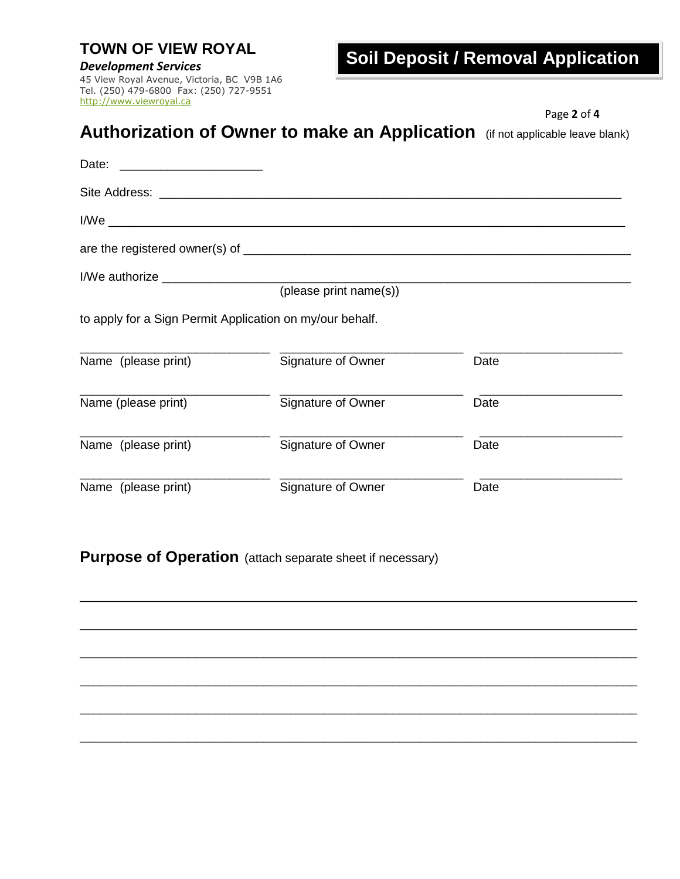### **TOWN OF VIEW ROYAL**

### *Development Services*

45 View Royal Avenue, Victoria, BC V9B 1A6 Tel. (250) 479-6800 Fax: (250) 727-9551 [http://www.viewroyal.ca](http://www.viewroyal.ca/)

# **Soil Deposit / Removal Application**

|                                                          |                                                                               | Page 2 of 4 |
|----------------------------------------------------------|-------------------------------------------------------------------------------|-------------|
|                                                          | Authorization of Owner to make an Application (if not applicable leave blank) |             |
|                                                          |                                                                               |             |
|                                                          |                                                                               |             |
|                                                          |                                                                               |             |
|                                                          |                                                                               |             |
|                                                          |                                                                               |             |
|                                                          | (please print name(s))                                                        |             |
| to apply for a Sign Permit Application on my/our behalf. |                                                                               |             |
| Name (please print)                                      | Signature of Owner                                                            | Date        |
| Name (please print)                                      | Signature of Owner                                                            | Date        |
| Name (please print)                                      | Signature of Owner                                                            | Date        |
| Name (please print)                                      | Signature of Owner                                                            | Date        |

\_\_\_\_\_\_\_\_\_\_\_\_\_\_\_\_\_\_\_\_\_\_\_\_\_\_\_\_\_\_\_\_\_\_\_\_\_\_\_\_\_\_\_\_\_\_\_\_\_\_\_\_\_\_\_\_\_\_\_\_\_\_\_\_\_\_\_\_\_\_\_\_\_\_\_\_\_\_\_\_\_\_

\_\_\_\_\_\_\_\_\_\_\_\_\_\_\_\_\_\_\_\_\_\_\_\_\_\_\_\_\_\_\_\_\_\_\_\_\_\_\_\_\_\_\_\_\_\_\_\_\_\_\_\_\_\_\_\_\_\_\_\_\_\_\_\_\_\_\_\_\_\_\_\_\_\_\_\_\_\_\_\_\_\_

\_\_\_\_\_\_\_\_\_\_\_\_\_\_\_\_\_\_\_\_\_\_\_\_\_\_\_\_\_\_\_\_\_\_\_\_\_\_\_\_\_\_\_\_\_\_\_\_\_\_\_\_\_\_\_\_\_\_\_\_\_\_\_\_\_\_\_\_\_\_\_\_\_\_\_\_\_\_\_\_\_\_

\_\_\_\_\_\_\_\_\_\_\_\_\_\_\_\_\_\_\_\_\_\_\_\_\_\_\_\_\_\_\_\_\_\_\_\_\_\_\_\_\_\_\_\_\_\_\_\_\_\_\_\_\_\_\_\_\_\_\_\_\_\_\_\_\_\_\_\_\_\_\_\_\_\_\_\_\_\_\_\_\_\_

\_\_\_\_\_\_\_\_\_\_\_\_\_\_\_\_\_\_\_\_\_\_\_\_\_\_\_\_\_\_\_\_\_\_\_\_\_\_\_\_\_\_\_\_\_\_\_\_\_\_\_\_\_\_\_\_\_\_\_\_\_\_\_\_\_\_\_\_\_\_\_\_\_\_\_\_\_\_\_\_\_\_

\_\_\_\_\_\_\_\_\_\_\_\_\_\_\_\_\_\_\_\_\_\_\_\_\_\_\_\_\_\_\_\_\_\_\_\_\_\_\_\_\_\_\_\_\_\_\_\_\_\_\_\_\_\_\_\_\_\_\_\_\_\_\_\_\_\_\_\_\_\_\_\_\_\_\_\_\_\_\_\_\_\_

**Purpose of Operation** (attach separate sheet if necessary)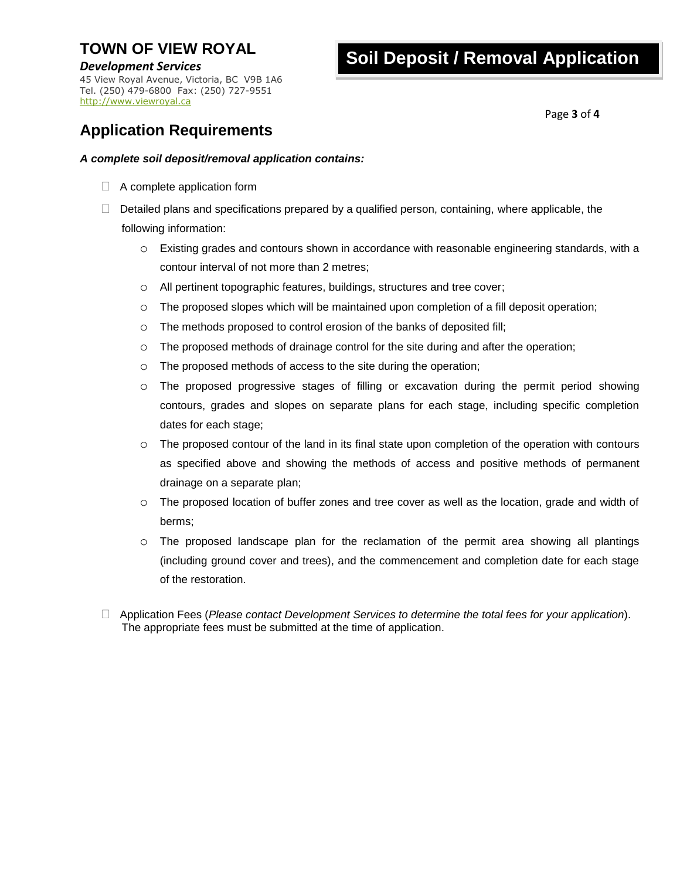## **TOWN OF VIEW ROYAL**

### *Development Services*

45 View Royal Avenue, Victoria, BC V9B 1A6 Tel. (250) 479-6800 Fax: (250) 727-9551 [http://www.viewroyal.ca](http://www.viewroyal.ca/)

# **Soil Deposit / Removal Application**

Page **3** of **4**

## **Application Requirements**

### *A complete soil deposit/removal application contains:*

- $\Box$  A complete application form
- $\Box$  Detailed plans and specifications prepared by a qualified person, containing, where applicable, the following information:
	- o Existing grades and contours shown in accordance with reasonable engineering standards, with a contour interval of not more than 2 metres;
	- o All pertinent topographic features, buildings, structures and tree cover;
	- $\circ$  The proposed slopes which will be maintained upon completion of a fill deposit operation;
	- o The methods proposed to control erosion of the banks of deposited fill;
	- o The proposed methods of drainage control for the site during and after the operation;
	- o The proposed methods of access to the site during the operation;
	- o The proposed progressive stages of filling or excavation during the permit period showing contours, grades and slopes on separate plans for each stage, including specific completion dates for each stage;
	- $\circ$  The proposed contour of the land in its final state upon completion of the operation with contours as specified above and showing the methods of access and positive methods of permanent drainage on a separate plan;
	- o The proposed location of buffer zones and tree cover as well as the location, grade and width of berms;
	- o The proposed landscape plan for the reclamation of the permit area showing all plantings (including ground cover and trees), and the commencement and completion date for each stage of the restoration.
- Application Fees (*Please contact Development Services to determine the total fees for your application*). The appropriate fees must be submitted at the time of application.